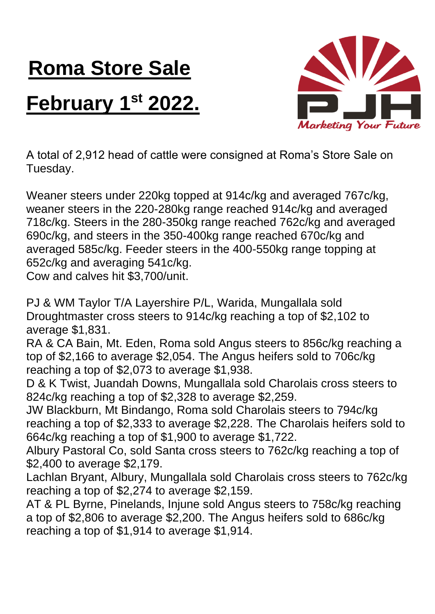## **Roma Store Sale February 1 st 2022.**



A total of 2,912 head of cattle were consigned at Roma's Store Sale on Tuesday.

Weaner steers under 220kg topped at 914c/kg and averaged 767c/kg, weaner steers in the 220-280kg range reached 914c/kg and averaged 718c/kg. Steers in the 280-350kg range reached 762c/kg and averaged 690c/kg, and steers in the 350-400kg range reached 670c/kg and averaged 585c/kg. Feeder steers in the 400-550kg range topping at 652c/kg and averaging 541c/kg.

Cow and calves hit \$3,700/unit.

PJ & WM Taylor T/A Layershire P/L, Warida, Mungallala sold Droughtmaster cross steers to 914c/kg reaching a top of \$2,102 to average \$1,831.

RA & CA Bain, Mt. Eden, Roma sold Angus steers to 856c/kg reaching a top of \$2,166 to average \$2,054. The Angus heifers sold to 706c/kg reaching a top of \$2,073 to average \$1,938.

D & K Twist, Juandah Downs, Mungallala sold Charolais cross steers to 824c/kg reaching a top of \$2,328 to average \$2,259.

JW Blackburn, Mt Bindango, Roma sold Charolais steers to 794c/kg reaching a top of \$2,333 to average \$2,228. The Charolais heifers sold to 664c/kg reaching a top of \$1,900 to average \$1,722.

Albury Pastoral Co, sold Santa cross steers to 762c/kg reaching a top of \$2,400 to average \$2,179.

Lachlan Bryant, Albury, Mungallala sold Charolais cross steers to 762c/kg reaching a top of \$2,274 to average \$2,159.

AT & PL Byrne, Pinelands, Injune sold Angus steers to 758c/kg reaching a top of \$2,806 to average \$2,200. The Angus heifers sold to 686c/kg reaching a top of \$1,914 to average \$1,914.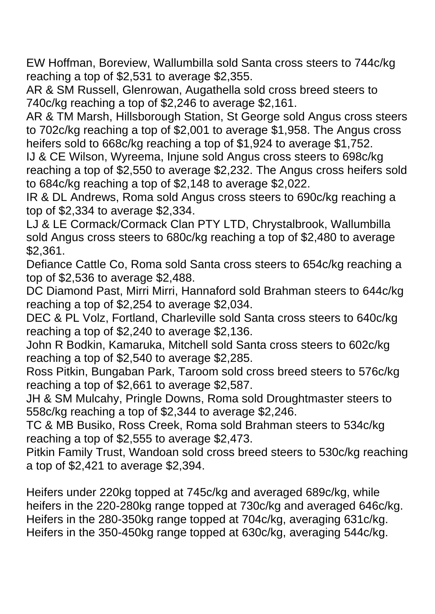EW Hoffman, Boreview, Wallumbilla sold Santa cross steers to 744c/kg reaching a top of \$2,531 to average \$2,355.

AR & SM Russell, Glenrowan, Augathella sold cross breed steers to 740c/kg reaching a top of \$2,246 to average \$2,161.

AR & TM Marsh, Hillsborough Station, St George sold Angus cross steers to 702c/kg reaching a top of \$2,001 to average \$1,958. The Angus cross heifers sold to 668c/kg reaching a top of \$1,924 to average \$1,752.

IJ & CE Wilson, Wyreema, Injune sold Angus cross steers to 698c/kg reaching a top of \$2,550 to average \$2,232. The Angus cross heifers sold to 684c/kg reaching a top of \$2,148 to average \$2,022.

IR & DL Andrews, Roma sold Angus cross steers to 690c/kg reaching a top of \$2,334 to average \$2,334.

LJ & LE Cormack/Cormack Clan PTY LTD, Chrystalbrook, Wallumbilla sold Angus cross steers to 680c/kg reaching a top of \$2,480 to average \$2,361.

Defiance Cattle Co, Roma sold Santa cross steers to 654c/kg reaching a top of \$2,536 to average \$2,488.

DC Diamond Past, Mirri Mirri, Hannaford sold Brahman steers to 644c/kg reaching a top of \$2,254 to average \$2,034.

DEC & PL Volz, Fortland, Charleville sold Santa cross steers to 640c/kg reaching a top of \$2,240 to average \$2,136.

John R Bodkin, Kamaruka, Mitchell sold Santa cross steers to 602c/kg reaching a top of \$2,540 to average \$2,285.

Ross Pitkin, Bungaban Park, Taroom sold cross breed steers to 576c/kg reaching a top of \$2,661 to average \$2,587.

JH & SM Mulcahy, Pringle Downs, Roma sold Droughtmaster steers to 558c/kg reaching a top of \$2,344 to average \$2,246.

TC & MB Busiko, Ross Creek, Roma sold Brahman steers to 534c/kg reaching a top of \$2,555 to average \$2,473.

Pitkin Family Trust, Wandoan sold cross breed steers to 530c/kg reaching a top of \$2,421 to average \$2,394.

Heifers under 220kg topped at 745c/kg and averaged 689c/kg, while heifers in the 220-280kg range topped at 730c/kg and averaged 646c/kg. Heifers in the 280-350kg range topped at 704c/kg, averaging 631c/kg. Heifers in the 350-450kg range topped at 630c/kg, averaging 544c/kg.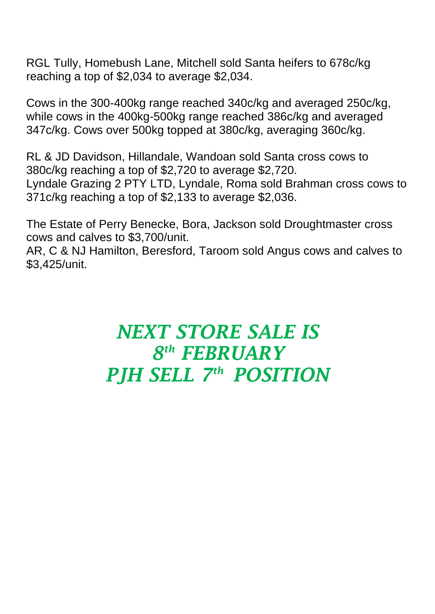RGL Tully, Homebush Lane, Mitchell sold Santa heifers to 678c/kg reaching a top of \$2,034 to average \$2,034.

Cows in the 300-400kg range reached 340c/kg and averaged 250c/kg, while cows in the 400kg-500kg range reached 386c/kg and averaged 347c/kg. Cows over 500kg topped at 380c/kg, averaging 360c/kg.

RL & JD Davidson, Hillandale, Wandoan sold Santa cross cows to 380c/kg reaching a top of \$2,720 to average \$2,720. Lyndale Grazing 2 PTY LTD, Lyndale, Roma sold Brahman cross cows to 371c/kg reaching a top of \$2,133 to average \$2,036.

The Estate of Perry Benecke, Bora, Jackson sold Droughtmaster cross cows and calves to \$3,700/unit.

AR, C & NJ Hamilton, Beresford, Taroom sold Angus cows and calves to \$3,425/unit.

## *NEXT STORE SALE IS 8 th FEBRUARY PJH SELL 7 th POSITION*